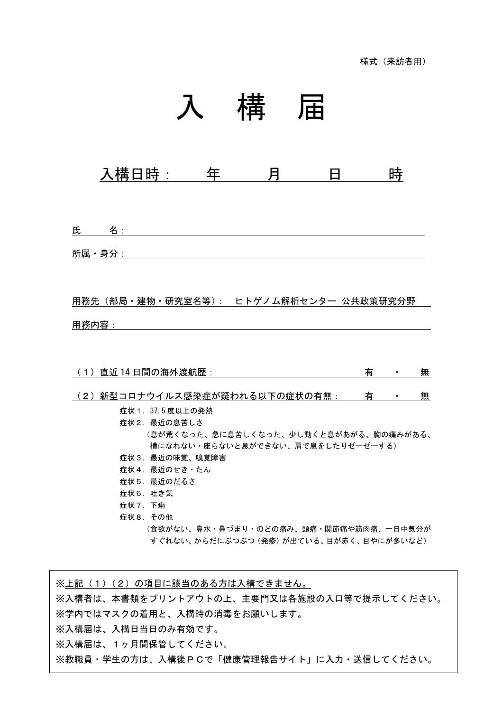## 入 構 届

入構日時: 年 月 日 時

氏 名: 2010年11月11日 11月11日 11月11日 11月11日 11月11日 11月11日 11月11日 11月11日 11月11日 11月11日 11月11日 11月11日 11月11日 11月11日 11月11日 11月11日 11月11日 11月11日 11月11日 11月11日 11月11日 11月11日 11月11日 11月11日 11月11日 11月11日 11月11日 11月11日 11月11日 11月11日 11

所属・身分:

用務先(部局・建物・研究室名等): ヒトゲノム解析センター 公共政策研究分野

用務内容:

| 直近 14 日間の海外渡航歴:                        | 有 |                | 無 |
|----------------------------------------|---|----------------|---|
|                                        |   |                |   |
| (2)新型コロナウイルス感染症が疑われる以下の症状の有無:          | 有 | $\blacksquare$ | 無 |
| 症状 1. 37.5 度以上の発熱                      |   |                |   |
| 症状2.最近の息苦しさ                            |   |                |   |
| (息が荒くなった、急に息苦しくなった、少し動くと息があがる、胸の痛みがある、 |   |                |   |
| 横になれない・座らないと息ができない、肩で息をしたりゼーゼーする)      |   |                |   |
| 症状3.最近の味覚、嗅覚障害                         |   |                |   |
| 症状4.最近のせき・たん                           |   |                |   |
| 症状5.最近のだるさ                             |   |                |   |
| 症状6.吐き気                                |   |                |   |
| 症状 7. 下痢                               |   |                |   |
| 症状8.その他                                |   |                |   |
| (食欲がない、鼻水・鼻づまり・のどの痛み、頭痛・関節痛や筋肉痛、一日中気分が |   |                |   |
| すぐれない、からだにぶつぶつ(発疹)が出ている、目が赤く、目やにが多いなど) |   |                |   |

※上記(1)(2)の項目に該当のある方は入構できません。 ※入構者は、本書類をプリントアウトの上、主要門又は各施設の入口等で提示してください。 ※学内ではマスクの着用と、入構時の消毒をお願いします。 ※入構届は、入構日当日のみ有効です。 ※入構届は、1ヶ月間保管してください。 ※教職員・学生の方は、入構後PCで「健康管理報告サイト」に入力・送信してください。